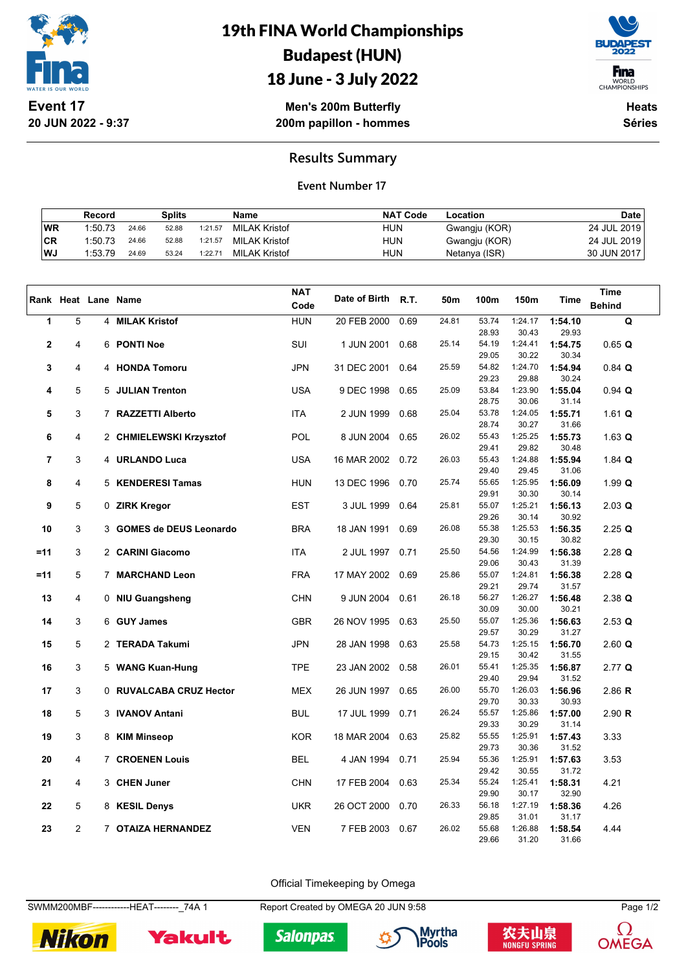

## 19th FINA World Championships Budapest (HUN) 18 June - 3 July 2022



**Men's 200m Butterfly 200m papillon - hommes**

**Heats Séries**

### **Results Summary**

#### **Event Number 17**

|           | Record  |       | Splits |         | Name                 | <b>NAT Code</b> | Location      | <b>Date</b> |
|-----------|---------|-------|--------|---------|----------------------|-----------------|---------------|-------------|
| <b>WR</b> | 1:50.73 | 24.66 | 52.88  | 1:21.57 | <b>MILAK Kristof</b> | <b>HUN</b>      | Gwangju (KOR) | 24 JUL 2019 |
| CR        | 1:50.73 | 24.66 | 52.88  | 1:21.57 | <b>MILAK Kristof</b> | <b>HUN</b>      | Gwangju (KOR) | 24 JUL 2019 |
| WJ        | 1:53.79 | 24.69 | 53.24  | 1:22.71 | MILAK Kristof        | <b>HUN</b>      | Netanya (ISR) | 30 JUN 2017 |

|             |                |                          | <b>NAT</b> |               |             |       |                |                  |                  | <b>Time</b>   |
|-------------|----------------|--------------------------|------------|---------------|-------------|-------|----------------|------------------|------------------|---------------|
|             |                | Rank Heat Lane Name      | Code       | Date of Birth | <b>R.T.</b> | 50m   | 100m           | 150m             | <b>Time</b>      | <b>Behind</b> |
| 1           | 5              | 4 MILAK Kristof          | <b>HUN</b> | 20 FEB 2000   | 0.69        | 24.81 | 53.74          | 1:24.17          | 1:54.10          | Q             |
|             |                |                          |            |               |             |       | 28.93          | 30.43            | 29.93            |               |
| $\mathbf 2$ | 4              | 6 PONTI Noe              | SUI        | 1 JUN 2001    | 0.68        | 25.14 | 54.19          | 1:24.41          | 1:54.75          | 0.65 Q        |
|             |                |                          |            |               |             |       | 29.05          | 30.22            | 30.34            |               |
| 3           | 4              | 4 HONDA Tomoru           | <b>JPN</b> | 31 DEC 2001   | 0.64        | 25.59 | 54.82          | 1:24.70          | 1:54.94          | $0.84$ Q      |
|             |                |                          |            |               |             |       | 29.23          | 29.88            | 30.24            |               |
| 4           | 5              | 5 JULIAN Trenton         | <b>USA</b> | 9 DEC 1998    | 0.65        | 25.09 | 53.84          | 1:23.90          | 1:55.04          | $0.94$ Q      |
|             |                |                          |            |               |             | 25.04 | 28.75<br>53.78 | 30.06            | 31.14            |               |
| 5           | 3              | 7 RAZZETTI Alberto       | <b>ITA</b> | 2 JUN 1999    | 0.68        |       | 28.74          | 1:24.05<br>30.27 | 1:55.71<br>31.66 | 1.61 Q        |
| 6           | 4              | 2 CHMIELEWSKI Krzysztof  | POL        | 8 JUN 2004    | 0.65        | 26.02 | 55.43          | 1:25.25          | 1:55.73          | 1.63 $Q$      |
|             |                |                          |            |               |             |       | 29.41          | 29.82            | 30.48            |               |
| 7           | 3              | 4 URLANDO Luca           | <b>USA</b> | 16 MAR 2002   | 0.72        | 26.03 | 55.43          | 1:24.88          | 1:55.94          | $1.84$ Q      |
|             |                |                          |            |               |             |       | 29.40          | 29.45            | 31.06            |               |
| 8           | 4              | 5 KENDERESI Tamas        | <b>HUN</b> | 13 DEC 1996   | 0.70        | 25.74 | 55.65          | 1:25.95          | 1:56.09          | 1.99Q         |
|             |                |                          |            |               |             |       | 29.91          | 30.30            | 30.14            |               |
| 9           | 5              | 0 ZIRK Kregor            | <b>EST</b> | 3 JUL 1999    | 0.64        | 25.81 | 55.07          | 1:25.21          | 1:56.13          | $2.03$ Q      |
|             |                |                          |            |               |             |       | 29.26          | 30.14            | 30.92            |               |
| 10          | 3              | 3 GOMES de DEUS Leonardo | <b>BRA</b> | 18 JAN 1991   | 0.69        | 26.08 | 55.38          | 1:25.53          | 1:56.35          | $2.25$ Q      |
|             |                |                          |            |               |             |       | 29.30          | 30.15            | 30.82            |               |
| $=11$       | 3              | 2 CARINI Giacomo         | <b>ITA</b> | 2 JUL 1997    | 0.71        | 25.50 | 54.56          | 1:24.99          | 1:56.38          | $2.28$ Q      |
|             |                |                          |            |               |             |       | 29.06          | 30.43            | 31.39            |               |
| =11         | 5              | 7 MARCHAND Leon          | <b>FRA</b> | 17 MAY 2002   | 0.69        | 25.86 | 55.07<br>29.21 | 1:24.81<br>29.74 | 1:56.38<br>31.57 | $2.28$ Q      |
| 13          | 4              | 0 NIU Guangsheng         | <b>CHN</b> | 9 JUN 2004    | 0.61        | 26.18 | 56.27          | 1:26.27          | 1:56.48          | $2.38$ Q      |
|             |                |                          |            |               |             |       | 30.09          | 30.00            | 30.21            |               |
| 14          | 3              | 6 GUY James              | <b>GBR</b> | 26 NOV 1995   | 0.63        | 25.50 | 55.07          | 1:25.36          | 1:56.63          | $2.53$ Q      |
|             |                |                          |            |               |             |       | 29.57          | 30.29            | 31.27            |               |
| 15          | 5              | 2 TERADA Takumi          | <b>JPN</b> | 28 JAN 1998   | 0.63        | 25.58 | 54.73          | 1:25.15          | 1:56.70          | $2.60$ Q      |
|             |                |                          |            |               |             |       | 29.15          | 30.42            | 31.55            |               |
| 16          | 3              | 5 WANG Kuan-Hung         | <b>TPE</b> | 23 JAN 2002   | 0.58        | 26.01 | 55.41          | 1:25.35          | 1:56.87          | 2.77Q         |
|             |                |                          |            |               |             |       | 29.40          | 29.94            | 31.52            |               |
| 17          | 3              | 0 RUVALCABA CRUZ Hector  | <b>MEX</b> | 26 JUN 1997   | 0.65        | 26.00 | 55.70          | 1:26.03          | 1:56.96          | 2.86 R        |
|             |                |                          |            |               |             |       | 29.70          | 30.33            | 30.93            |               |
| 18          | 5              | 3 IVANOV Antani          | <b>BUL</b> | 17 JUL 1999   | 0.71        | 26.24 | 55.57<br>29.33 | 1:25.86<br>30.29 | 1:57.00<br>31.14 | 2.90 R        |
| 19          | 3              | 8 KIM Minseop            | <b>KOR</b> | 18 MAR 2004   | 0.63        | 25.82 | 55.55          | 1:25.91          | 1:57.43          | 3.33          |
|             |                |                          |            |               |             |       | 29.73          | 30.36            | 31.52            |               |
| 20          | 4              | 7 CROENEN Louis          | <b>BEL</b> | 4 JAN 1994    | 0.71        | 25.94 | 55.36          | 1:25.91          | 1:57.63          | 3.53          |
|             |                |                          |            |               |             |       | 29.42          | 30.55            | 31.72            |               |
| 21          | 4              | 3 CHEN Juner             | <b>CHN</b> | 17 FEB 2004   | 0.63        | 25.34 | 55.24          | 1:25.41          | 1:58.31          | 4.21          |
|             |                |                          |            |               |             |       | 29.90          | 30.17            | 32.90            |               |
| 22          | 5              | 8 KESIL Denys            | <b>UKR</b> | 26 OCT 2000   | 0.70        | 26.33 | 56.18          | 1:27.19          | 1:58.36          | 4.26          |
|             |                |                          |            |               |             |       | 29.85          | 31.01            | 31.17            |               |
| 23          | $\overline{2}$ | 7 OTAIZA HERNANDEZ       | <b>VEN</b> | 7 FEB 2003    | 0.67        | 26.02 | 55.68          | 1:26.88          | 1:58.54          | 4.44          |
|             |                |                          |            |               |             |       | 29.66          | 31.20            | 31.66            |               |

Official Timekeeping by Omega

SWMM200MBF------------HEAT--------\_74A 1 Report Created by OMEGA 20 JUN 9:58 Page 1/2



Yakult